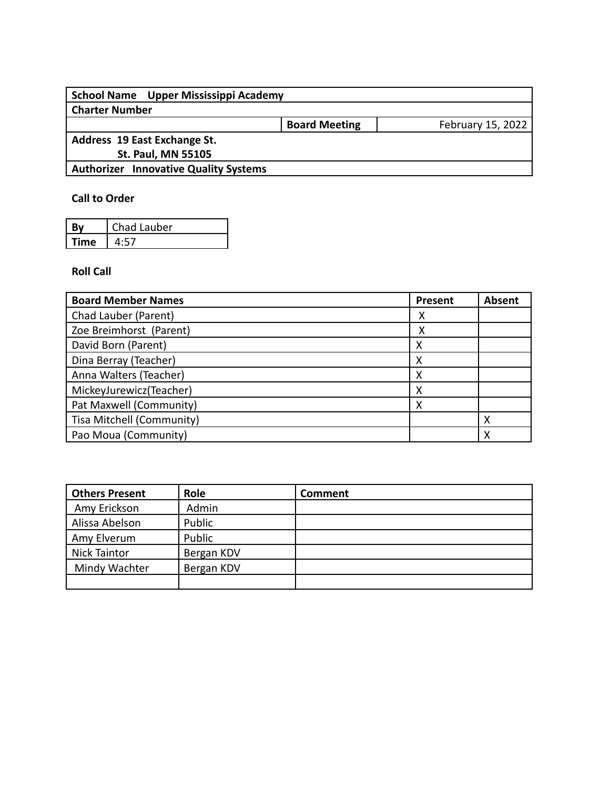| School Name Upper Mississippi Academy        |                      |                   |
|----------------------------------------------|----------------------|-------------------|
| <b>Charter Number</b>                        |                      |                   |
|                                              | <b>Board Meeting</b> | February 15, 2022 |
| Address 19 East Exchange St.                 |                      |                   |
| <b>St. Paul, MN 55105</b>                    |                      |                   |
| <b>Authorizer Innovative Quality Systems</b> |                      |                   |
|                                              |                      |                   |

## **Call to Order**

|             | Chad Lauber |
|-------------|-------------|
| <b>Time</b> |             |

### **Roll Call**

| <b>Board Member Names</b> | Present | <b>Absent</b> |
|---------------------------|---------|---------------|
| Chad Lauber (Parent)      | х       |               |
| Zoe Breimhorst (Parent)   | x       |               |
| David Born (Parent)       | х       |               |
| Dina Berray (Teacher)     | Χ       |               |
| Anna Walters (Teacher)    | х       |               |
| MickeyJurewicz(Teacher)   |         |               |
| Pat Maxwell (Community)   | Χ       |               |
| Tisa Mitchell (Community) |         |               |
| Pao Moua (Community)      |         | χ             |

| <b>Others Present</b> | Role       | Comment |
|-----------------------|------------|---------|
| Amy Erickson          | Admin      |         |
| Alissa Abelson        | Public     |         |
| Amy Elverum           | Public     |         |
| <b>Nick Taintor</b>   | Bergan KDV |         |
| Mindy Wachter         | Bergan KDV |         |
|                       |            |         |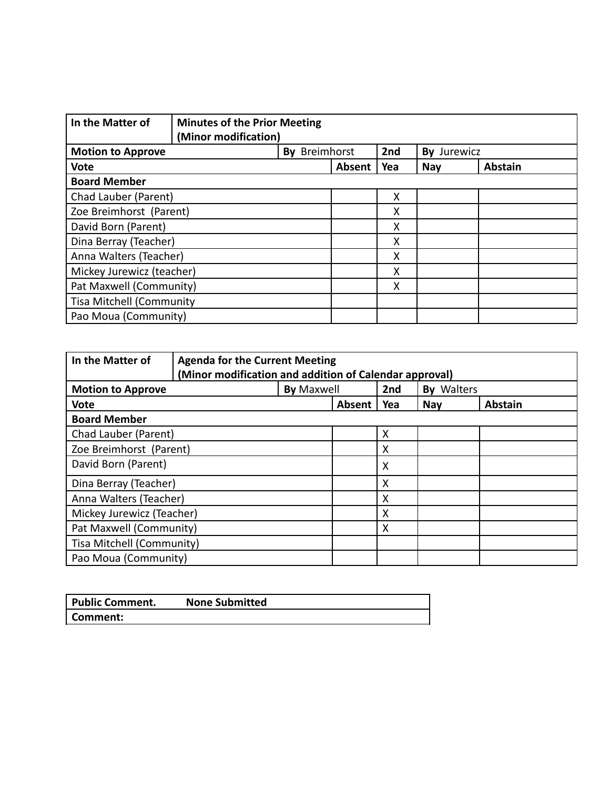| In the Matter of                | <b>Minutes of the Prior Meeting</b><br>(Minor modification) |               |        |     |             |                |
|---------------------------------|-------------------------------------------------------------|---------------|--------|-----|-------------|----------------|
| <b>Motion to Approve</b>        |                                                             | By Breimhorst |        | 2nd | By Jurewicz |                |
| <b>Vote</b>                     |                                                             |               | Absent | Yea | <b>Nay</b>  | <b>Abstain</b> |
| <b>Board Member</b>             |                                                             |               |        |     |             |                |
| Chad Lauber (Parent)            |                                                             |               |        | X   |             |                |
| Zoe Breimhorst (Parent)         |                                                             |               |        | X   |             |                |
| David Born (Parent)             |                                                             |               |        | X   |             |                |
| Dina Berray (Teacher)           |                                                             |               |        | X   |             |                |
| Anna Walters (Teacher)          |                                                             |               |        | Χ   |             |                |
| Mickey Jurewicz (teacher)       |                                                             |               |        | Χ   |             |                |
| Pat Maxwell (Community)         |                                                             |               |        | Χ   |             |                |
| <b>Tisa Mitchell (Community</b> |                                                             |               |        |     |             |                |
| Pao Moua (Community)            |                                                             |               |        |     |             |                |

| In the Matter of<br><b>Agenda for the Current Meeting</b><br>(Minor modification and addition of Calendar approval) |                   |        |     |                   |                |
|---------------------------------------------------------------------------------------------------------------------|-------------------|--------|-----|-------------------|----------------|
| <b>Motion to Approve</b>                                                                                            | <b>By Maxwell</b> |        | 2nd | <b>By Walters</b> |                |
| <b>Vote</b>                                                                                                         |                   | Absent | Yea | <b>Nay</b>        | <b>Abstain</b> |
| <b>Board Member</b>                                                                                                 |                   |        |     |                   |                |
| Chad Lauber (Parent)                                                                                                |                   |        | X   |                   |                |
| Zoe Breimhorst (Parent)                                                                                             |                   |        | X   |                   |                |
| David Born (Parent)                                                                                                 |                   |        | X   |                   |                |
| Dina Berray (Teacher)                                                                                               |                   |        | X   |                   |                |
| Anna Walters (Teacher)                                                                                              |                   |        | X   |                   |                |
| Mickey Jurewicz (Teacher)                                                                                           |                   |        | X   |                   |                |
| Pat Maxwell (Community)                                                                                             |                   |        | x   |                   |                |
| Tisa Mitchell (Community)                                                                                           |                   |        |     |                   |                |
| Pao Moua (Community)                                                                                                |                   |        |     |                   |                |

| <b>Public Comment.</b> | <b>None Submitted</b> |
|------------------------|-----------------------|
| Comment:               |                       |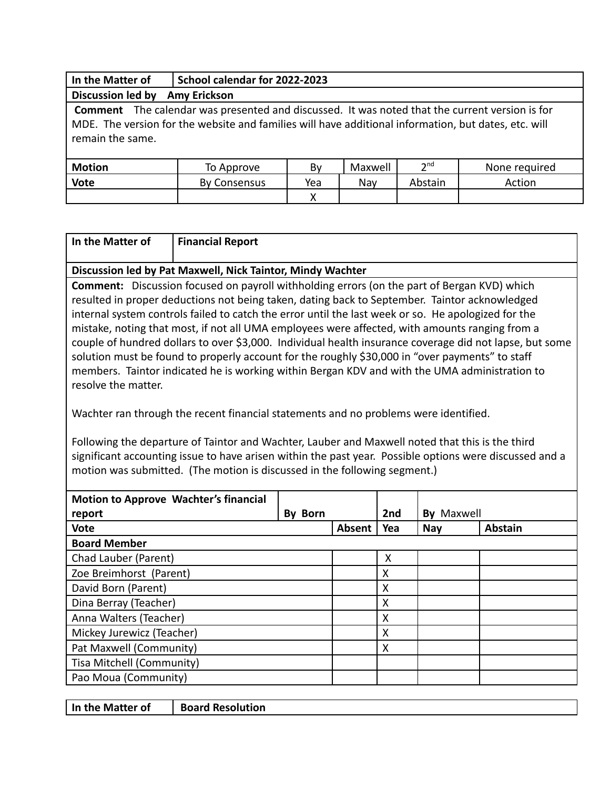| In the Matter of         | School calendar for 2022-2023                                                                                                                                                                                 |     |         |                 |               |
|--------------------------|---------------------------------------------------------------------------------------------------------------------------------------------------------------------------------------------------------------|-----|---------|-----------------|---------------|
| <b>Discussion led by</b> | <b>Amy Erickson</b>                                                                                                                                                                                           |     |         |                 |               |
| remain the same.         | <b>Comment</b> The calendar was presented and discussed. It was noted that the current version is for<br>MDE. The version for the website and families will have additional information, but dates, etc. will |     |         |                 |               |
| <b>Motion</b>            | To Approve                                                                                                                                                                                                    | By  | Maxwell | 2 <sup>nd</sup> | None required |
| <b>Vote</b>              | <b>By Consensus</b>                                                                                                                                                                                           | Yea | Nay     | Abstain         | Action        |
|                          |                                                                                                                                                                                                               | x   |         |                 |               |

| In the Matter of | Financial Report |
|------------------|------------------|
|                  |                  |

#### **Discussion led by Pat Maxwell, Nick Taintor, Mindy Wachter**

**Comment:** Discussion focused on payroll withholding errors (on the part of Bergan KVD) which resulted in proper deductions not being taken, dating back to September. Taintor acknowledged internal system controls failed to catch the error until the last week or so. He apologized for the mistake, noting that most, if not all UMA employees were affected, with amounts ranging from a couple of hundred dollars to over \$3,000. Individual health insurance coverage did not lapse, but some solution must be found to properly account for the roughly \$30,000 in "over payments" to staff members. Taintor indicated he is working within Bergan KDV and with the UMA administration to resolve the matter.

Wachter ran through the recent financial statements and no problems were identified.

Following the departure of Taintor and Wachter, Lauber and Maxwell noted that this is the third significant accounting issue to have arisen within the past year. Possible options were discussed and a motion was submitted. (The motion is discussed in the following segment.)

| Motion to Approve Wachter's financial<br>By Born<br>report |  |        | 2nd | Maxwell<br>Bv |                |
|------------------------------------------------------------|--|--------|-----|---------------|----------------|
| <b>Vote</b>                                                |  | Absent | Yea | <b>Nay</b>    | <b>Abstain</b> |
| <b>Board Member</b>                                        |  |        |     |               |                |
| Chad Lauber (Parent)                                       |  |        | X   |               |                |
| Zoe Breimhorst (Parent)                                    |  |        | X   |               |                |
| David Born (Parent)                                        |  |        | X   |               |                |
| Dina Berray (Teacher)                                      |  |        | X   |               |                |
| Anna Walters (Teacher)                                     |  |        | X   |               |                |
| Mickey Jurewicz (Teacher)                                  |  |        | X   |               |                |
| Pat Maxwell (Community)                                    |  |        | X   |               |                |
| Tisa Mitchell (Community)                                  |  |        |     |               |                |
| Pao Moua (Community)                                       |  |        |     |               |                |

|--|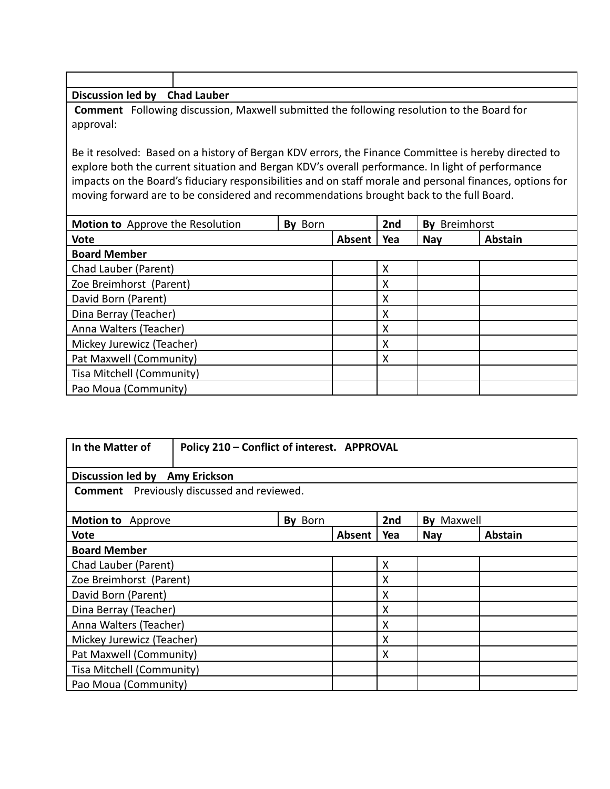| Discussion led by | <b>Chad Lauber</b> |
|-------------------|--------------------|

**Comment** Following discussion, Maxwell submitted the following resolution to the Board for approval:

Be it resolved: Based on a history of Bergan KDV errors, the Finance Committee is hereby directed to explore both the current situation and Bergan KDV's overall performance. In light of performance impacts on the Board's fiduciary responsibilities and on staff morale and personal finances, options for moving forward are to be considered and recommendations brought back to the full Board.

| Motion to Approve the Resolution<br>By Born |  |        | 2nd | Breimhorst<br>Bv |                |
|---------------------------------------------|--|--------|-----|------------------|----------------|
| <b>Vote</b>                                 |  | Absent | Yea | <b>Nay</b>       | <b>Abstain</b> |
| <b>Board Member</b>                         |  |        |     |                  |                |
| Chad Lauber (Parent)                        |  |        | X   |                  |                |
| Zoe Breimhorst (Parent)                     |  |        | X   |                  |                |
| David Born (Parent)                         |  |        | X   |                  |                |
| Dina Berray (Teacher)                       |  |        | X   |                  |                |
| Anna Walters (Teacher)                      |  |        | X   |                  |                |
| Mickey Jurewicz (Teacher)                   |  |        | X   |                  |                |
| Pat Maxwell (Community)                     |  |        | X   |                  |                |
| Tisa Mitchell (Community)                   |  |        |     |                  |                |
| Pao Moua (Community)                        |  |        |     |                  |                |

| In the Matter of               | Policy 210 - Conflict of interest. APPROVAL       |         |               |     |               |         |
|--------------------------------|---------------------------------------------------|---------|---------------|-----|---------------|---------|
| Discussion led by Amy Erickson |                                                   |         |               |     |               |         |
|                                | <b>Comment</b> Previously discussed and reviewed. |         |               |     |               |         |
|                                |                                                   |         |               |     |               |         |
| Motion to Approve              |                                                   | By Born |               | 2nd | Maxwell<br>By |         |
| Vote                           |                                                   |         | <b>Absent</b> | Yea | <b>Nay</b>    | Abstain |
| <b>Board Member</b>            |                                                   |         |               |     |               |         |
| Chad Lauber (Parent)           |                                                   |         | X             |     |               |         |
| Zoe Breimhorst (Parent)        |                                                   |         | X             |     |               |         |
| David Born (Parent)            |                                                   |         | X             |     |               |         |
| Dina Berray (Teacher)          |                                                   |         | X             |     |               |         |
| Anna Walters (Teacher)         |                                                   |         | X             |     |               |         |
| Mickey Jurewicz (Teacher)      |                                                   |         | X             |     |               |         |
| Pat Maxwell (Community)        |                                                   |         | X             |     |               |         |
| Tisa Mitchell (Community)      |                                                   |         |               |     |               |         |
| Pao Moua (Community)           |                                                   |         |               |     |               |         |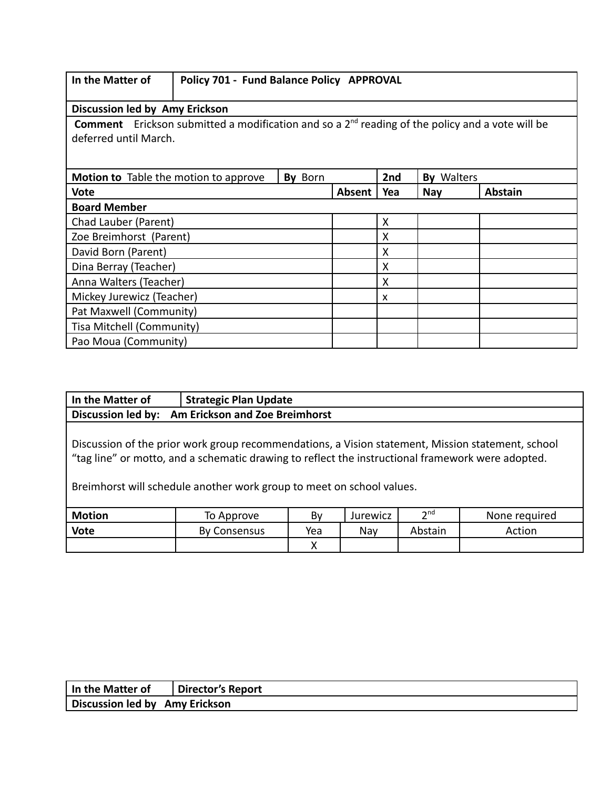| In the Matter of |  |
|------------------|--|
|------------------|--|

# **Policy 701 - Fund Balance Policy APPROVAL**

**Discussion led by Amy Erickson**

**Comment** Erickson submitted a modification and so a 2<sup>nd</sup> reading of the policy and a vote will be deferred until March.

| Motion to Table the motion to approve | By Born |        | 2nd | <b>By Walters</b> |                |
|---------------------------------------|---------|--------|-----|-------------------|----------------|
| <b>Vote</b>                           |         | Absent | Yea | <b>Nay</b>        | <b>Abstain</b> |
| <b>Board Member</b>                   |         |        |     |                   |                |
| Chad Lauber (Parent)                  |         |        | Χ   |                   |                |
| Zoe Breimhorst (Parent)               |         |        | Χ   |                   |                |
| David Born (Parent)                   |         |        | Χ   |                   |                |
| Dina Berray (Teacher)                 |         |        | X   |                   |                |
| Anna Walters (Teacher)                |         |        | X   |                   |                |
| Mickey Jurewicz (Teacher)             |         |        | X   |                   |                |
| Pat Maxwell (Community)               |         |        |     |                   |                |
| Tisa Mitchell (Community)             |         |        |     |                   |                |
| Pao Moua (Community)                  |         |        |     |                   |                |

| In the Matter of                                                                                                                                                                                                                                                                | <b>Strategic Plan Update</b>   |     |          |                 |               |
|---------------------------------------------------------------------------------------------------------------------------------------------------------------------------------------------------------------------------------------------------------------------------------|--------------------------------|-----|----------|-----------------|---------------|
| <b>Discussion led by:</b>                                                                                                                                                                                                                                                       | Am Erickson and Zoe Breimhorst |     |          |                 |               |
| Discussion of the prior work group recommendations, a Vision statement, Mission statement, school<br>"tag line" or motto, and a schematic drawing to reflect the instructional framework were adopted.<br>Breimhorst will schedule another work group to meet on school values. |                                |     |          |                 |               |
| <b>Motion</b>                                                                                                                                                                                                                                                                   | To Approve                     | By  | Jurewicz | 2 <sup>nd</sup> | None required |
| <b>Vote</b>                                                                                                                                                                                                                                                                     | By Consensus                   | Yea | Nay      | Abstain         | Action        |
|                                                                                                                                                                                                                                                                                 |                                | Χ   |          |                 |               |

| In the Matter of               | Director's Report |
|--------------------------------|-------------------|
| Discussion led by Amy Erickson |                   |